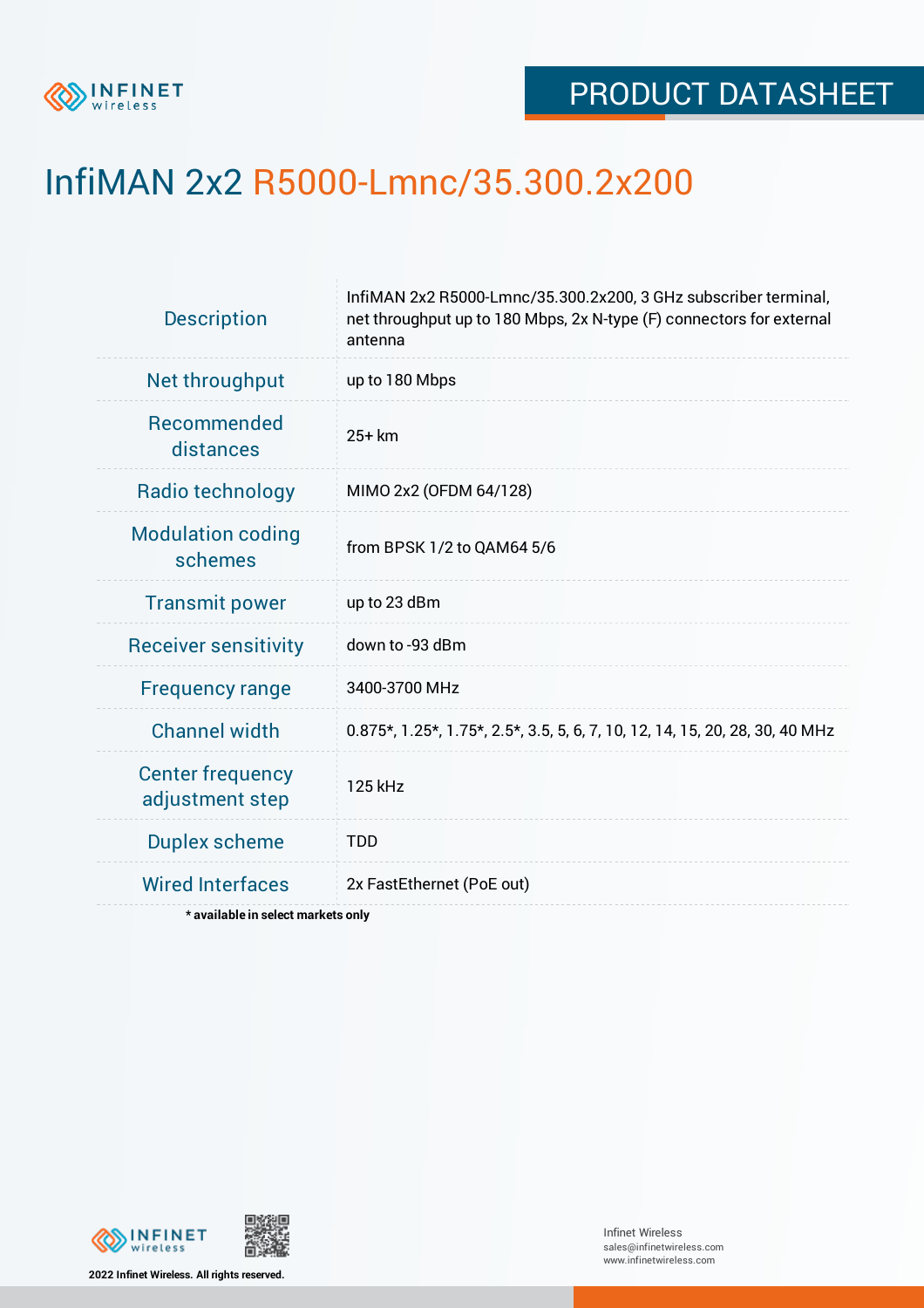

# InfiMAN 2x2 R5000-Lmnc/35.300.2x200

| <b>Description</b>                         | InfiMAN 2x2 R5000-Lmnc/35.300.2x200, 3 GHz subscriber terminal,<br>net throughput up to 180 Mbps, 2x N-type (F) connectors for external<br>antenna |  |  |  |  |
|--------------------------------------------|----------------------------------------------------------------------------------------------------------------------------------------------------|--|--|--|--|
| Net throughput                             | up to 180 Mbps                                                                                                                                     |  |  |  |  |
| <b>Recommended</b><br>distances            | $25+km$                                                                                                                                            |  |  |  |  |
| Radio technology                           | MIMO 2x2 (OFDM 64/128)                                                                                                                             |  |  |  |  |
| <b>Modulation coding</b><br>schemes        | from BPSK 1/2 to QAM64 5/6                                                                                                                         |  |  |  |  |
| <b>Transmit power</b>                      | up to 23 dBm                                                                                                                                       |  |  |  |  |
| <b>Receiver sensitivity</b>                | down to -93 dBm                                                                                                                                    |  |  |  |  |
| <b>Frequency range</b>                     | 3400-3700 MHz                                                                                                                                      |  |  |  |  |
| <b>Channel width</b>                       | 0.875*, 1.25*, 1.75*, 2.5*, 3.5, 5, 6, 7, 10, 12, 14, 15, 20, 28, 30, 40 MHz                                                                       |  |  |  |  |
| <b>Center frequency</b><br>adjustment step | 125 kHz                                                                                                                                            |  |  |  |  |
| <b>Duplex scheme</b>                       | <b>TDD</b>                                                                                                                                         |  |  |  |  |
| <b>Wired Interfaces</b>                    | 2x FastEthernet (PoE out)                                                                                                                          |  |  |  |  |
| * available in select markets only         |                                                                                                                                                    |  |  |  |  |



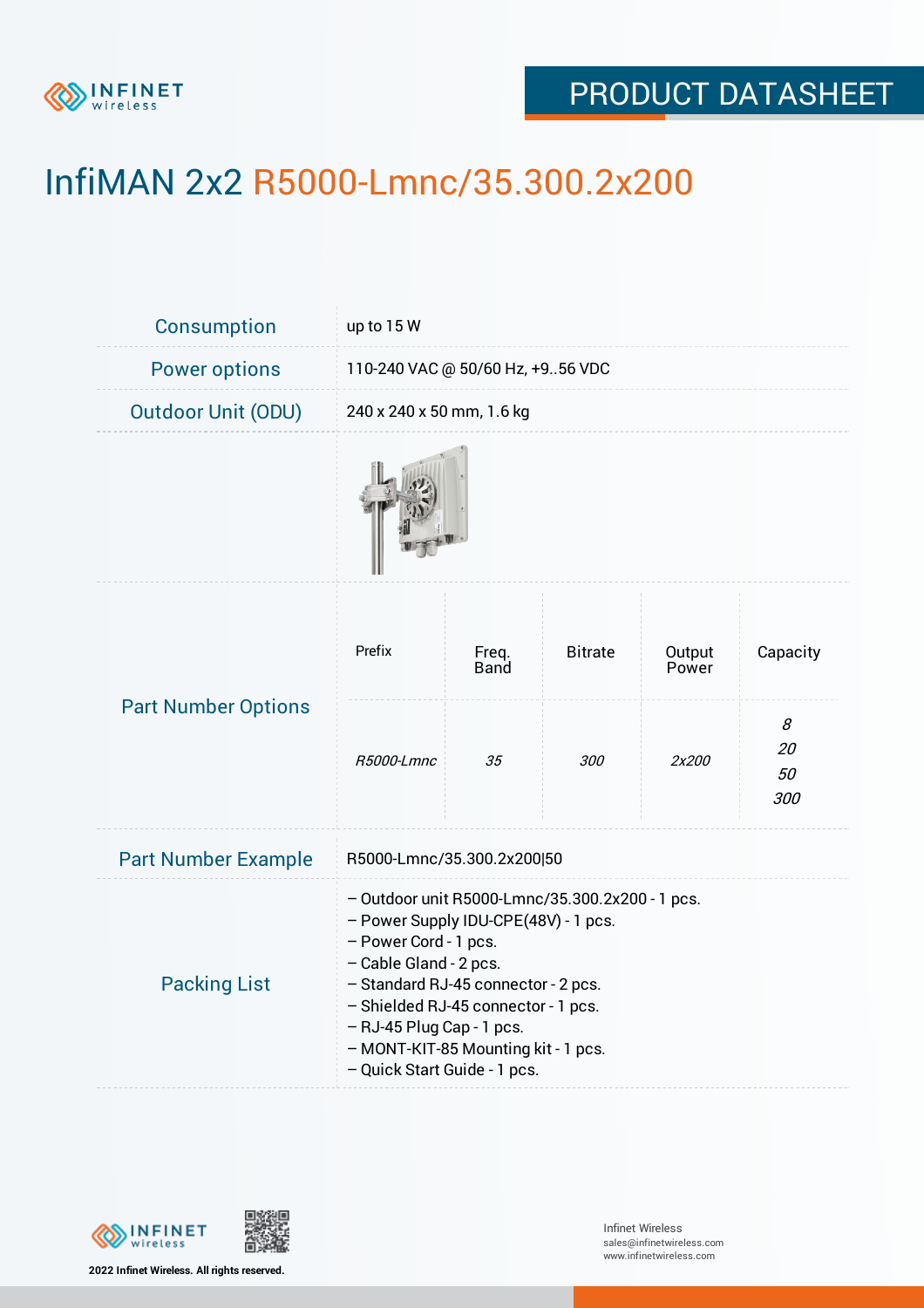

# InfiMAN 2x2 R5000-Lmnc/35.300.2x200

| <b>Consumption</b>         | up to 15 W                                                                                                                                                                                                                                                                                                                   |               |                |                 |                      |  |  |
|----------------------------|------------------------------------------------------------------------------------------------------------------------------------------------------------------------------------------------------------------------------------------------------------------------------------------------------------------------------|---------------|----------------|-----------------|----------------------|--|--|
| <b>Power options</b>       | 110-240 VAC @ 50/60 Hz, +956 VDC                                                                                                                                                                                                                                                                                             |               |                |                 |                      |  |  |
| <b>Outdoor Unit (ODU)</b>  | 240 x 240 x 50 mm, 1.6 kg                                                                                                                                                                                                                                                                                                    |               |                |                 |                      |  |  |
|                            |                                                                                                                                                                                                                                                                                                                              |               |                |                 |                      |  |  |
| <b>Part Number Options</b> | Prefix                                                                                                                                                                                                                                                                                                                       | Freq.<br>Band | <b>Bitrate</b> | Output<br>Power | Capacity             |  |  |
|                            | R5000-Lmnc                                                                                                                                                                                                                                                                                                                   | 35            | 300            | 2x200           | 8<br>20<br>50<br>300 |  |  |
| <b>Part Number Example</b> | R5000-Lmnc/35.300.2x200 50                                                                                                                                                                                                                                                                                                   |               |                |                 |                      |  |  |
| <b>Packing List</b>        | - Outdoor unit R5000-Lmnc/35.300.2x200 - 1 pcs.<br>- Power Supply IDU-CPE(48V) - 1 pcs.<br>- Power Cord - 1 pcs.<br>- Cable Gland - 2 pcs.<br>- Standard RJ-45 connector - 2 pcs.<br>- Shielded RJ-45 connector - 1 pcs.<br>- RJ-45 Plug Cap - 1 pcs.<br>- MONT-KIT-85 Mounting kit - 1 pcs.<br>- Quick Start Guide - 1 pcs. |               |                |                 |                      |  |  |



**2022 Infinet Wireless. All rights reserved.**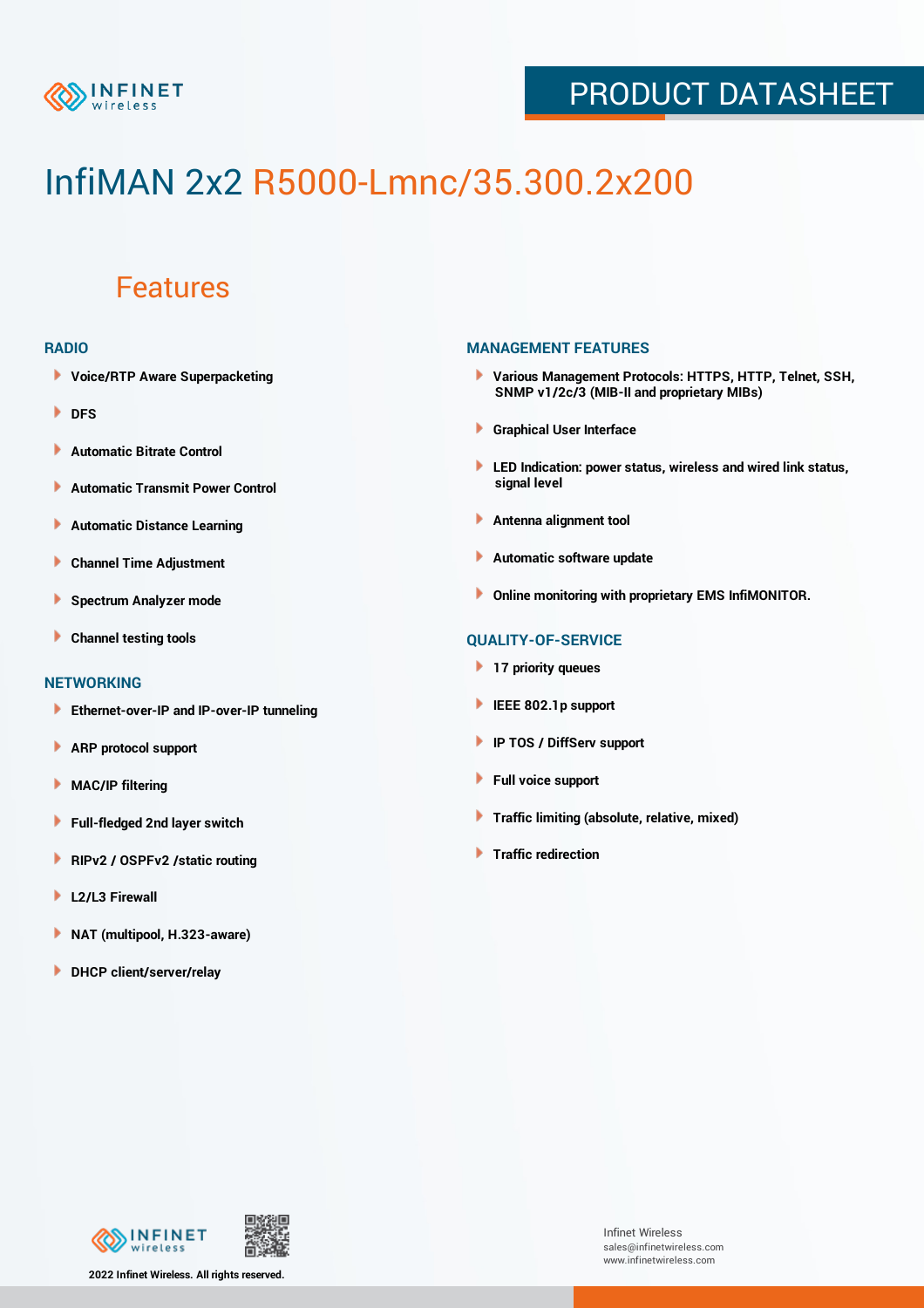

# InfiMAN 2x2 R5000-Lmnc/35.300.2x200

### Features

#### **RADIO**

- **Voice/RTP Aware Superpacketing**
- **DFS**
- **Automatic Bitrate Control** Þ
- Þ **Automatic Transmit Power Control**
- Þ **Automatic Distance Learning**
- Þ **Channel Time Adjustment**
- Þ **Spectrum Analyzer mode**
- Þ **Channel testing tools**

#### **NETWORKING**

- **Ethernet-over-IP and IP-over-IP tunneling**
- Þ **ARP protocol support**
- Þ **MAC/IP filtering**
- Þ **Full-fledged 2nd layer switch**
- Þ **RIPv2 / OSPFv2 /static routing**
- ۱ **L2/L3 Firewall**
- ١ **NAT (multipool, H.323-aware)**
- **DHCP client/server/relay**

#### **MANAGEMENT FEATURES**

- **Various Management Protocols: HTTPS, HTTP, Telnet, SSH, SNMP v1/2c/3 (MIB-II and proprietary MIBs)**
- **Graphical User Interface**
- **LED Indication: power status, wireless and wired link status, signal level**
- **Antenna alignment tool**
- ٠ **Automatic software update**
- **Online monitoring with proprietary EMS InfiMONITOR.**

### **QUALITY-OF-SERVICE**

- **17 priority queues**
- **IEEE 802.1p support**
- **IP TOS / DiffServ support**
- ٠ **Full voice support**
- **Traffic limiting (absolute, relative, mixed)** ٠
- **Traffic redirection**